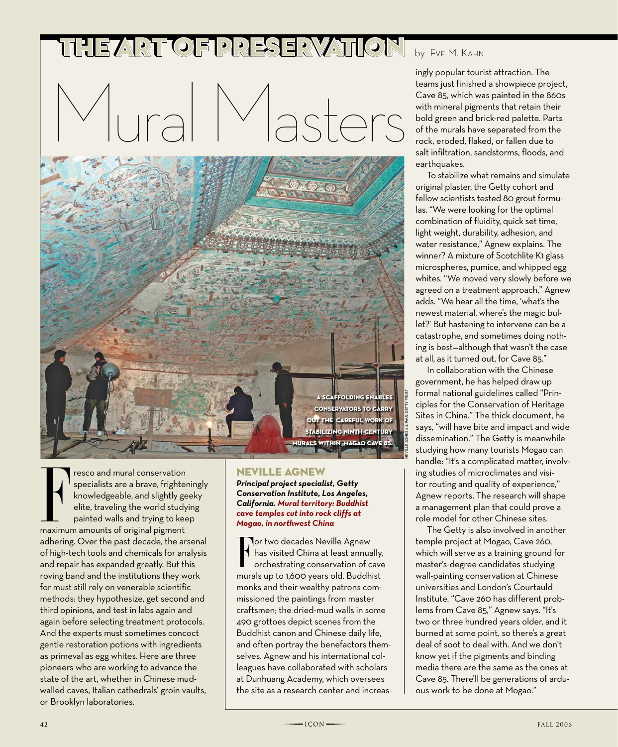## THE ART OF PRESERVATION by Eve M. KAHN

Mural Masters



Fresco and mural conservation<br>
specialists are a brave, frighter<br>
knowledgeable, and slightly ge<br>
elite, traveling the world study<br>
painted walls and trying to kee<br>
maximum amounts of original pigment resco and mural conservation specialists are a brave, frighteningly knowledgeable, and slightly geeky elite, traveling the world studying painted walls and trying to keep adhering. Over the past decade, the arsenal of high-tech tools and chemicals for analysis and repair has expanded greatly. But this roving band and the institutions they work for must still rely on venerable scientific methods: they hypothesize, get second and third opinions, and test in labs again and again before selecting treatment protocols. And the experts must sometimes concoct gentle restoration potions with ingredients as primeval as egg whites. Here are three pioneers who are working to advance the state of the art, whether in Chinese mudwalled caves, Italian cathedrals' groin vaults, or Brooklyn laboratories.

## Neville Agnew

*Principal project specialist, Getty Conservation Institute, Los Angeles, California. Mural territory: Buddhist cave temples cut into rock cliffs at Mogao, in northwest China*

For two decades Neville Agnew<br>
has visited China at least annually,<br>
orchestrating conservation of cave<br>
murals up to 1,600 years old. Buddhist **Tor two decades Neville Agnew** has visited China at least annually, orchestrating conservation of cave monks and their wealthy patrons commissioned the paintings from master craftsmen; the dried-mud walls in some 490 grottoes depict scenes from the Buddhist canon and Chinese daily life, and often portray the benefactors themselves. Agnew and his international colleagues have collaborated with scholars at Dunhuang Academy, which oversees the site as a research center and increas-

ingly popular tourist attraction. The teams just finished a showpiece project, Cave 85, which was painted in the 860s with mineral pigments that retain their bold green and brick-red palette. Parts of the murals have separated from the rock, eroded, flaked, or fallen due to salt infiltration, sandstorms, floods, and earthquakes.

To stabilize what remains and simulate original plaster, the Getty cohort and fellow scientists tested 80 grout formulas. "We were looking for the optimal combination of fluidity, quick set time, light weight, durability, adhesion, and water resistance," Agnew explains. The winner? A mixture of Scotchlite K1 glass microspheres, pumice, and whipped egg whites. "We moved very slowly before we agreed on a treatment approach," Agnew adds. "We hear all the time, 'what's the newest material, where's the magic bullet?' But hastening to intervene can be a catastrophe, and sometimes doing nothing is best—although that wasn't the case at all, as it turned out, for Cave 85."

In collaboration with the Chinese government, he has helped draw up formal national guidelines called "Principles for the Conservation of Heritage Sites in China." The thick document, he says, "will have bite and impact and wide dissemination." The Getty is meanwhile studying how many tourists Mogao can handle: "It's a complicated matter, involving studies of microclimates and visitor routing and quality of experience," Agnew reports. The research will shape a management plan that could prove a role model for other Chinese sites.

The Getty is also involved in another temple project at Mogao, Cave 260, which will serve as a training ground for master's-degree candidates studying wall-painting conservation at Chinese universities and London's Courtauld Institute. "Cave 260 has different problems from Cave 85," Agnew says. "It's two or three hundred years older, and it burned at some point, so there's a great deal of soot to deal with. And we don't know yet if the pigments and binding media there are the same as the ones at Cave 85. There'll be generations of arduous work to be done at Mogao."